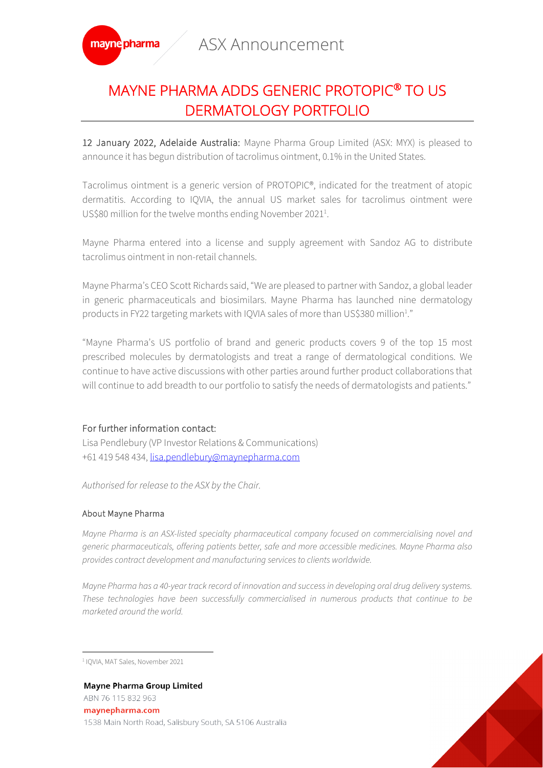

## MAYNE PHARMA ADDS GENERIC PROTOPIC® TO US DERMATOLOGY PORTFOLIO

12 January 2022, Adelaide Australia: Mayne Pharma Group Limited (ASX: MYX) is pleased to announce it has begun distribution of tacrolimus ointment, 0.1% in the United States.

Tacrolimus ointment is a generic version of PROTOPIC®, indicated for the treatment of atopic dermatitis. According to IQVIA, the annual US market sales for tacrolimus ointment were US\$80 million for the twelve months ending November 2021<sup>1</sup>.

Mayne Pharma entered into a license and supply agreement with Sandoz AG to distribute tacrolimus ointment in non-retail channels.

Mayne Pharma's CEO Scott Richards said, "We are pleased to partner with Sandoz, a global leader in generic pharmaceuticals and biosimilars. Mayne Pharma has launched nine dermatology products in FY22 targeting markets with IQVIA sales of more than US\$380 million<sup>1</sup>."

"Mayne Pharma's US portfolio of brand and generic products covers 9 of the top 15 most prescribed molecules by dermatologists and treat a range of dermatological conditions. We continue to have active discussions with other parties around further product collaborations that will continue to add breadth to our portfolio to satisfy the needs of dermatologists and patients."

## For further information contact:

Lisa Pendlebury (VP Investor Relations & Communications) +61 419 548 434, lisa.pendlebury@maynepharma.com

*Authorised for release to the ASX by the Chair.*

## About Mayne Pharma

*Mayne Pharma is an ASX-listed specialty pharmaceutical company focused on commercialising novel and generic pharmaceuticals, offering patients better, safe and more accessible medicines. Mayne Pharma also provides contract development and manufacturing services to clients worldwide.*

*Mayne Pharma has a 40-year track record of innovation and success in developing oral drug delivery systems. These technologies have been successfully commercialised in numerous products that continue to be marketed around the world.* 

<sup>1</sup> IQVIA, MAT Sales, November 2021